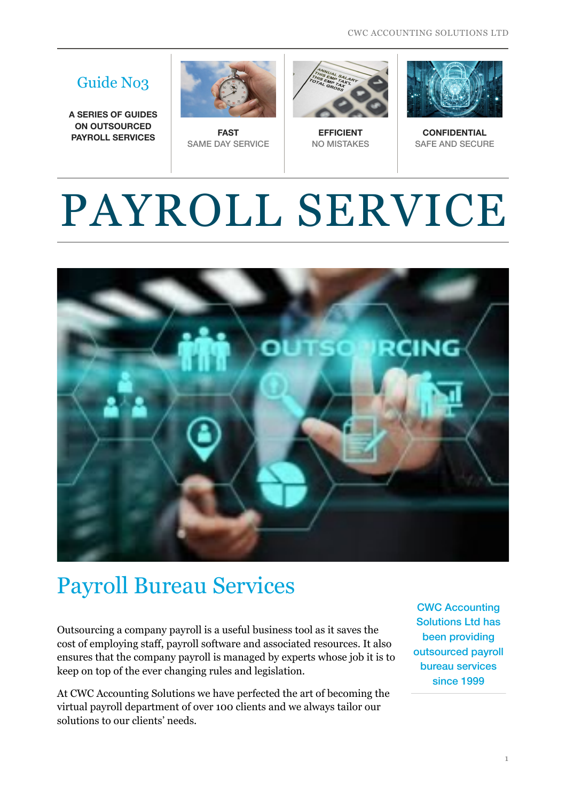CWC ACCOUNTING SOLUTIONS LTD

#### Guide No3

**A SERIES OF GUIDES ON OUTSOURCED PAYROLL SERVICES FAST** 



SAME DAY SERVICE



**EFFICIENT**  NO MISTAKES



**CONFIDENTIAL**  SAFE AND SECURE

# PAYROLL SERVICE



### Payroll Bureau Services

Outsourcing a company payroll is a useful business tool as it saves the cost of employing staff, payroll software and associated resources. It also ensures that the company payroll is managed by experts whose job it is to keep on top of the ever changing rules and legislation.

At CWC Accounting Solutions we have perfected the art of becoming the virtual payroll department of over 100 clients and we always tailor our solutions to our clients' needs.

CWC Accounting Solutions Ltd has been providing outsourced payroll bureau services since 1999